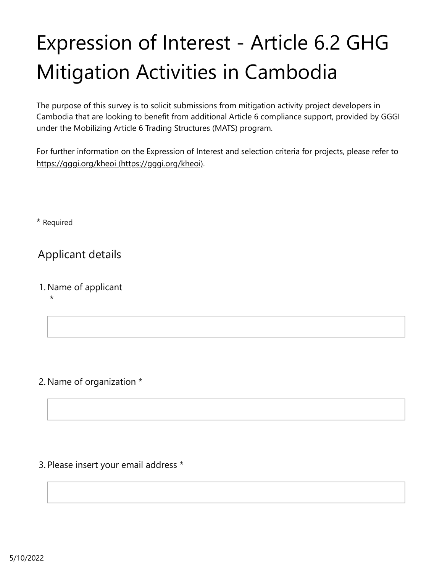# Expression of Interest - Article 6.2 GHG Mitigation Activities in Cambodia

The purpose of this survey is to solicit submissions from mitigation activity project developers in Cambodia that are looking to benefit from additional Article 6 compliance support, provided by GGGI under the Mobilizing Article 6 Trading Structures (MATS) program.

For further information on the Expression of Interest and selection criteria for projects, please refer to [https://gggi.org/kheoi \(https://gggi.org/kheoi\).](https://gggi.org/kheoi)

\* Required

Applicant details

1. Name of applicant

\*

#### 2. Name of organization \*

#### 3. Please insert your email address \*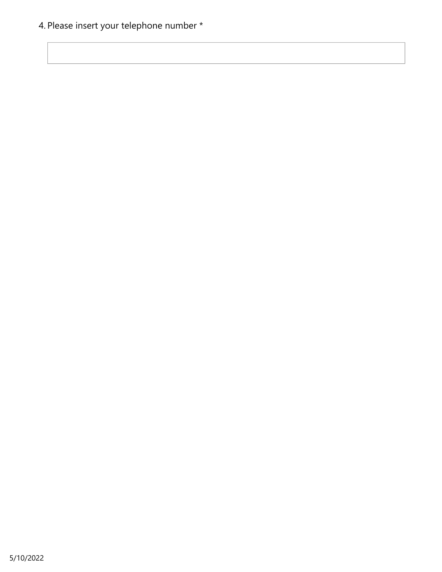4. Please insert your telephone number \*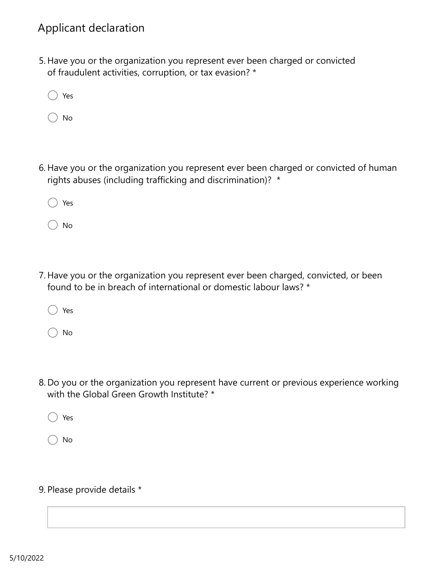## Applicant declaration

- 5. Have you or the organization you represent ever been charged or convicted of fraudulent activities, corruption, or tax evasion? \*
	- Yes
	- No
- 6. Have you or the organization you represent ever been charged or convicted of human rights abuses (including trafficking and discrimination)? \*
	- Yes
	- No
- 7. Have you or the organization you represent ever been charged, convicted, or been found to be in breach of international or domestic labour laws? \*
	- Yes
	- No
- 8. Do you or the organization you represent have current or previous experience working with the Global Green Growth Institute? \*
	- Yes
	- No
- 9. Please provide details \*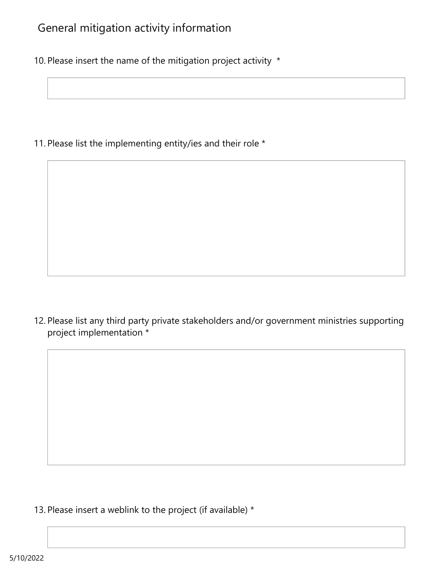# General mitigation activity information

10. Please insert the name of the mitigation project activity \*

11. Please list the implementing entity/ies and their role \*

12. Please list any third party private stakeholders and/or government ministries supporting project implementation \*

13. Please insert a weblink to the project (if available)  $*$ 

5/10/2022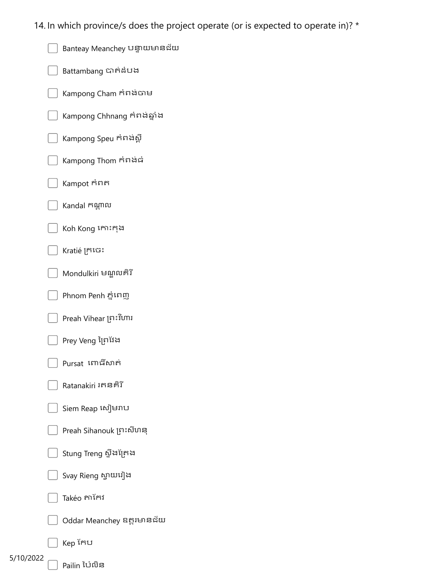- 14. In which province/s does the project operate (or is expected to operate in)? \* /hich province/s does the project operate (or is expected to operate in)? \*<br>Banteay Meanchey បន្ទាយមានន័យ<br>Battambang បាត់នំបង<br>Kampong Chhnang កំពង់ឆ្នាំង<br>Kampong Chhnang កំពង់ឆ្នាំង<br>Kampong Speu កំពង់ធ្ rhich province/s does the project operate (or i<br>Banteay Meanchey បន្ទាយមានជ័យ<br>Battambang បាត់ដំបង<br>Kampong Cham កំពង់ថា<br>Kampong Speu កំពង់ស្ពឺ<br>Kampong Speu កំពង់ស្ពឺ<br>Kampong Thom កំពង់ធំ rhich province/s does the project operate (or is expansion)<br>Banteay Meanchey បន្ទាយមានជ័យ<br>Battambang បាត់ដំបង<br>Kampong Cham កំពង់ថាម<br>Kampong Speu កំពង់ស្ពឺ<br>Kampong Speu កំពង់ស្ពឺ<br>Kampong Thom កំពង់ធំ<br>Kampot កំពត phich province/s does the project operate (or is expected to operate<br>Banteay Meanchey បន្ទាយមានជ័យ<br>Battambang បាត់ដំបង<br>Kampong Cham កំពង់ថាម<br>Kampong Speu កំពង់ឆ្នាំ<br>Kampong Speu កំពង់ឆ្នាំ<br>Kampong Thom កំពង់ធំ<br>Kampot កំពត rhich province/s does the project operate (or is<br>Banteay Meanchey បន្ទាយមានដ័យ<br>Battambang បាត់ដំបង<br>Kampong Cham កំពង់ថាម<br>Kampong Speu កំពង់ស្ពឺ<br>Kampong Thom កំពង់ធំ<br>Kampong Thom កំពង់ធំ<br>Kampot កំពត<br>Kandal កណ្តាល<br>Koh Kong rich province/s does the project operate (or is expected to operate in)? \*<br>Banteay Meanchey បន្ទាយមានជ័យ<br>Battambang បាត់ដំបង<br>Kampong Cham កំពង់ជា<br>Kampong Chamang កំពង់ផ្តាំង<br>Kampong Thom កំពង់ជាំ<br>Kampong Thom កំពង់ជាំ<br>Kam rhich province/s does the project operate (or is expected to operate i<br>Banteay Meanchey បន្ទាយមានជ័យ<br>Battambang បាត់ដំបង<br>Kampong Cham កំពង់ថាម<br>Kampong Speu កំពង់ឆ្នាំ<br>Kampong Speu កំពង់ឆ្នាំ<br>Kampong Thom កំពង់ធំ<br>Kampong T inch province/s does the project operate (or is expected to operate in)? \*<br>Banteay Meanchey បន្ទាយមានជ័យ<br>Battambang ជាក់ដំបង<br>Kampong Chanang កំពង់ឆ្នាំង<br>Kampong Chhnang កំពង់ឆ្នាំង<br>Kampong Speu កំពង់ឆ្នាំ<br>Kampong Thom កំព rich province/s does the project operate (or is expected to operatey Meanchey បន្ទាយមានជ័យ<br>Battambang បាត់ដំបង<br>Kampong Cham កំពង់ថ្លាំង<br>Kampong Chhnang កំពង់ឆ្នាំង<br>Kampong Speu កំពង់ថ្លាំ<br>Kampong Thom កំពង់ផំ<br>Kampong Thom Phich province/s does the project operate (or is expected to operate in)<br>Banteay Meanchey បន្ទាយមានន័យ<br>Battambang បាត់ដំបង<br>Kampong Cham កំពង់ចាម<br>Kampong Chamang កំពង់ឆ្នាំង<br>Kampong Speu កំពង់ស្ពឺ<br>Kampong Thom កំពង់ឆ្នាំ<br>K rhich province/s does the project operate (or is expected to operate in)? \*<br>Banteay Meanchey បន្ទាយមានទ័យ<br>Battambang ជាឥដំបង<br>Kampong Cham កំពង់ជា<br>Kampong Cham កំពង់ជា<br>Kampong Speu កំពង់ស្ពឺ<br>Kampong Thom កំពង់ជំ<br>Kampong Th rhich province/s does the project operate (or is expected to operate in)? \*<br>Banteay Meanchey បន្ទាយមានទ័យ<br>Battambang ជាក់ដំបង<br>Kampong Cham កំពង់ចាម<br>Kampong Chhang កំពង់ចំ<br>Kampong Speu កំពង់ចំ<br>Kampong Speu កំពង់ចំ<br>Kampong rinch province/s does the project operate (or is expected to operate in)? \*<br>Bartery Meanchey បន្ទាយបរានន័យ<br>Barternbang យ៉ាក់ន័យ៖<br>Kampong Chum Arishote<br>Kampong Speu កំពត់ខ្លាំ<br>Kampong Speu កំពត់ខ្លាំ<br>Kampong Speu កំពត់ខ្លា thich province/s does the project operate (or is expected to operate in)? \*<br>Banteay Meanchey Ughusnasisu<br>Battambang ជាក់និយង<br>Kampong Chinang កាំពង់ក្លាំង<br>Kampong Chinang កាំពង់ក្លាំង<br>Kampong Sheu កំពង់ក្លាំង<br>Kampong Sheu thich province/s does the project operate (or is expected to operate in)?<br>Barteay Meanchey Uğutunasıdır<br>Battambang ជាតិទំរេង<br>Kampong Cham កំពង់ជាម<br>Kampong Schunang កំពង់ឆ្នាំ។<br>Kampong Speu កំពង់ឆ្នាំ<br>Kampong Speu កំពង់ឆ្ន rhich province/s does the project operate (or is<br>Banteay Meanchey បន្ទាយមានន័យ<br>Battambang ជាក់ន័បង<br>Kampong Chhnang កំពង់ឆ្នាំង<br>Kampong Chhnang កំពង់ឆ្នាំ<br>Kampong Thom កំពង់ឆ្នាំ<br>Kampong Thom កំពង់ឆ្នាំ<br>Kampong Thom កំពង់ឆ rhich province/s does the project operate (or is expected to operate in)? "<br>Bankay Meanchey បន្ទាយកាន់ដែល<br>Satarnbarg Christian<br>Maroporg Chan កាលីដែល<br>Kampong Chan កាលីដែល<br>Kampong Chan កាលីដែល<br>Kampong Chan កាលីដៃ<br>Nampong Th rhich province/s does the projec<br>Banteay Meanchey បន្ទាយមានជ័យ<br>Battambang បាត់ដំបង<br>Kampong Chhnang កំពង់ឆ្នាំង<br>Kampong Speu កំពង់ស្ពឺ<br>Kampong Speu កំពង់ស្ពឺ<br>Kampong Thom កំពង់ស្ពឺ<br>Kampong Thom កំពង់ស្ពឺ<br>Kampong Thom កំពង់ rhich province/s does the project operate (or is<br>Banteay Meanchey បន្ទាយមានដ័យ<br>Battambang បាក់ដំបង<br>Kampong Cham កាំអង់ថាម<br>Kampong Speu កំពង់ឆ្នាំ<br>Kampong Speu កំពង់ឆ្នាំ<br>Kampong Speu កំពង់ឆ្នាំ<br>Kampong Thom កំពង់<br>Kampong
	-
	-
	-
	- Banteay Meanchey បន្ទាយមានដយ<br>Battambang Crimatos<br>Kampong Cham คิดเลือก<br>Kampong Chinang ศักริษัฐวิง<br>Kampong Thom คิดเลือก<br>Kampong Thom คิดเลือก<br>Kampong Thom คิดเลือก<br>Kampong Thom คิดเลือก<br>Katala Figure<br>Phon Penh Euring<br>Pho Battambang ជាក់ដំបង<br>Kampong Cham កំពង់ថ្នាំង<br>Kampong Speu កំពង់ឆ្នាំង<br>Kampong Thom កំពង់ជំ<br>Kampot កំពត<br>Kandal កំណូល<br>Koh Kong កោះកុង<br>Kratié ក្រនេះ<br>Mondulkiri មណ្ឌលគំរី<br>Phnom Penh ភ្នំពេញ<br>Preah Vihear ព្រះវិហារ Kampong Cham កំពង់ចាម<br>Kampong Chhnang កំពង់ឆ្នាំង<br>Kampong Speu កំពង់ស្ពឺ<br>Kampot កំពត<br>Kampot កំពត<br>Kandal កណ្តាល<br>Koh Kong កោះកុង Battambang បាត់ដំបង<br>Kampong Cham កំពង់ចាម<br>Kampong Chhnang កំពង់ឆ្នាំង<br>Kampong Speu កំពង់ស្ពឺ
	- Kampong Chhnang កំពង់ឆ្នាំង<br>Kampong Speu កំពង់ស្ពឺ<br>Kampong Speu កំពង់ស្ពឺ
	-
	-
	-
	-
	-
	-
	-
	- Preah Vihear ព្រះវិហារ
	-
	-
	-
	-
	-
	-
	-
	-
	-
	- Kep เ๊ก<sub>ั</sub>บ
- 5/10/2022
- Pailin ប៉ៃលិន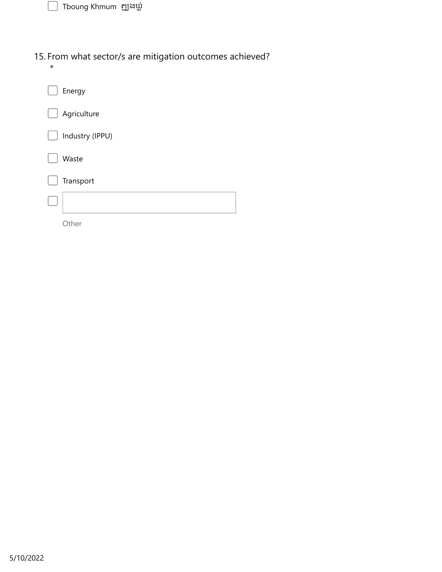| Tboung Khmum  ត្ឈូងឃ្លាំ                                          |  |
|-------------------------------------------------------------------|--|
|                                                                   |  |
| . From what sector/s are mitigation outcomes achieved?<br>$\star$ |  |
| Energy                                                            |  |
| Agriculture                                                       |  |
| Industry (IPPU)                                                   |  |
| Waste                                                             |  |
| Transport                                                         |  |
|                                                                   |  |
| Other                                                             |  |
|                                                                   |  |
|                                                                   |  |
|                                                                   |  |
|                                                                   |  |
|                                                                   |  |
|                                                                   |  |
|                                                                   |  |
|                                                                   |  |
|                                                                   |  |
|                                                                   |  |
|                                                                   |  |
|                                                                   |  |
|                                                                   |  |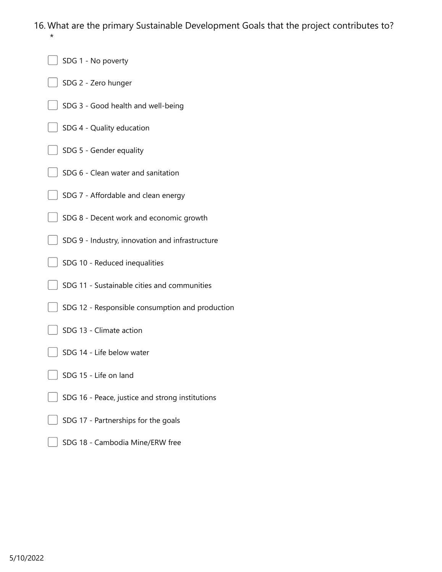16. What are the primary Sustainable Development Goals that the project contributes to? \*

- SDG 1 No poverty
- SDG 2 Zero hunger
- SDG 3 Good health and well-being
- SDG 4 Quality education
- SDG 5 Gender equality
- SDG 6 Clean water and sanitation
- SDG 7 Affordable and clean energy
- SDG 8 Decent work and economic growth
- SDG 9 Industry, innovation and infrastructure
- SDG 10 Reduced inequalities
- SDG 11 Sustainable cities and communities
- SDG 12 Responsible consumption and production
- SDG 13 Climate action
- SDG 14 Life below water
- SDG 15 Life on land
- SDG 16 Peace, justice and strong institutions
- SDG 17 Partnerships for the goals
- SDG 18 Cambodia Mine/ERW free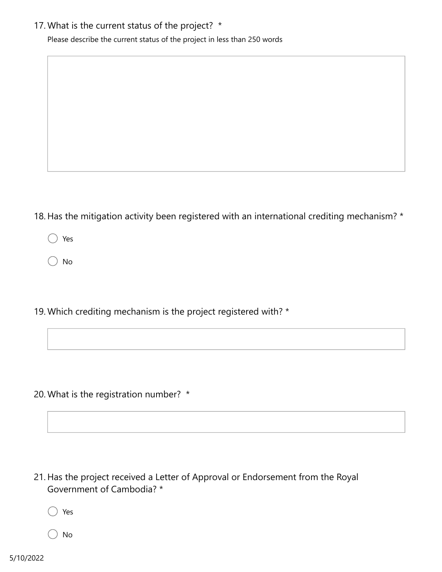#### 17. What is the current status of the project? \*

Please describe the current status of the project in less than 250 words

- 18. Has the mitigation activity been registered with an international crediting mechanism? \*
	- Yes
	- No
- 19. Which crediting mechanism is the project registered with? \*

20. What is the registration number? \*

21. Has the project received a Letter of Approval or Endorsement from the Royal Government of Cambodia? \*

Yes

No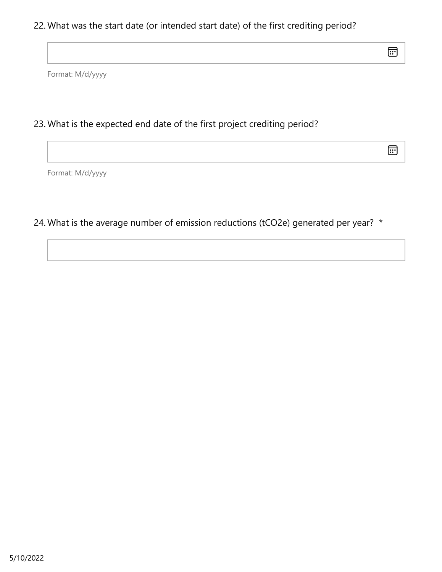## 22. What was the start date (or intended start date) of the first crediting period?

⊞

Format: M/d/yyyy

## 23. What is the expected end date of the first project crediting period?

 $\text{E}$ 

Format: M/d/yyyy

24. What is the average number of emission reductions (tCO2e) generated per year? \*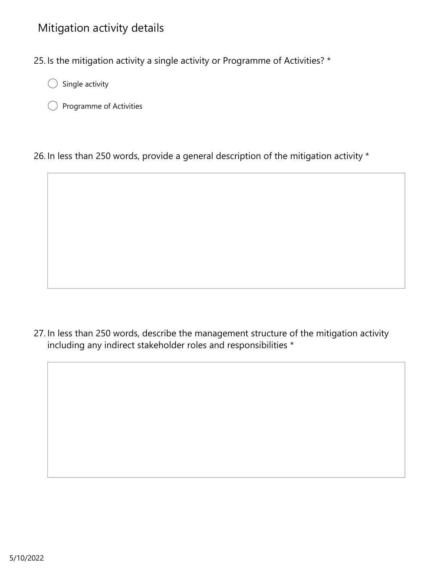# Mitigation activity details

25. Is the mitigation activity a single activity or Programme of Activities? \*

- Single activity  $($ )
- Programme of Activities

26. In less than 250 words, provide a general description of the mitigation activity \*

27. In less than 250 words, describe the management structure of the mitigation activity including any indirect stakeholder roles and responsibilities \*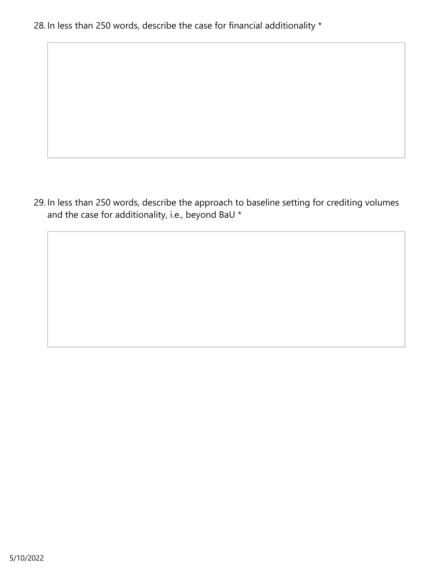28. In less than 250 words, describe the case for financial additionality \*

29. In less than 250 words, describe the approach to baseline setting for crediting volumes and the case for additionality, i.e., beyond BaU \*